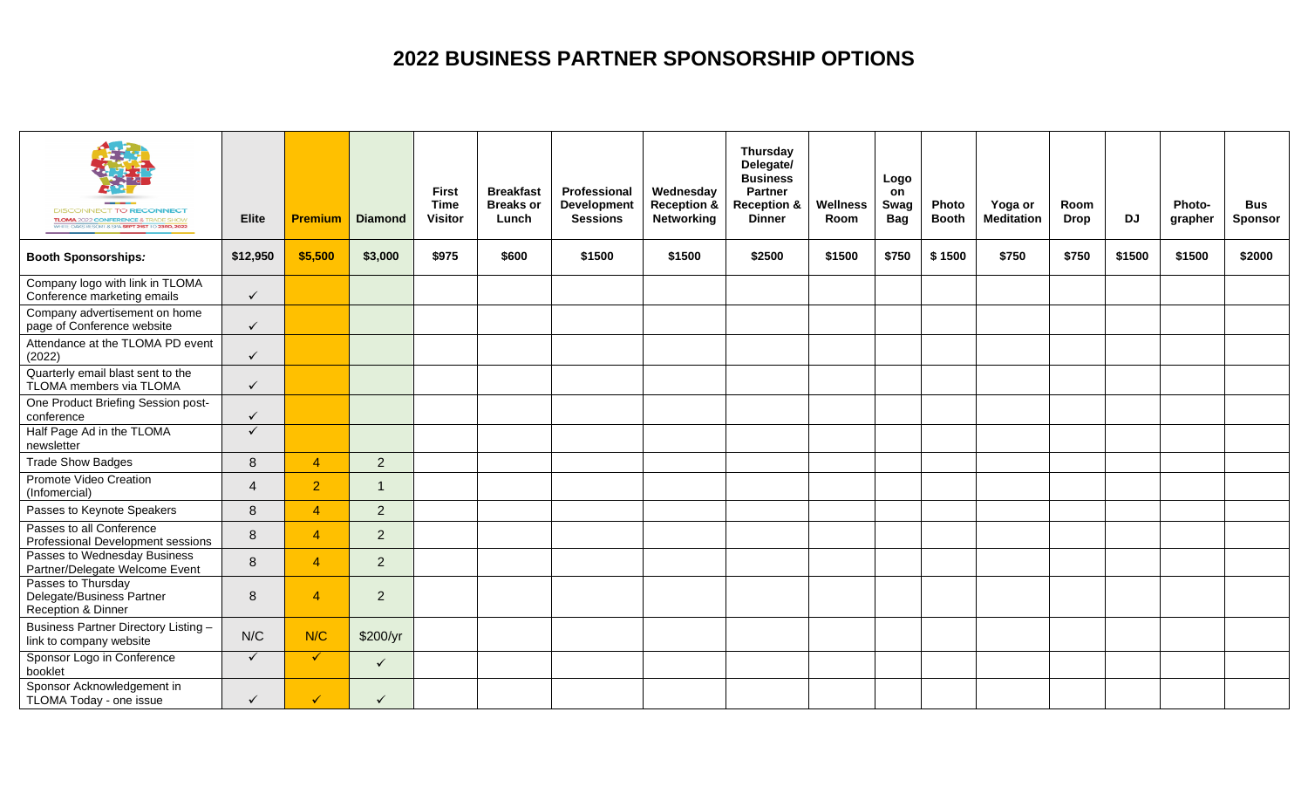## **2022 BUSINESS PARTNER SPONSORSHIP OPTIONS**

| <b>DISCONNECT TO RECONNECT</b><br><b>TLOMA</b> 2022 CONFERENCE & TRADE SHOW<br>WHITE OAKS RESORT & SPA SEPT 21ST TO 23RD, 2022 | <b>Elite</b>   | <b>Premium</b> | <b>Diamond</b> | <b>First</b><br><b>Time</b><br><b>Visitor</b> | <b>Breakfast</b><br><b>Breaks or</b><br>Lunch | Professional<br><b>Development</b><br><b>Sessions</b> | Wednesday<br><b>Reception &amp;</b><br>Networking | Thursday<br>Delegate/<br><b>Business</b><br><b>Partner</b><br><b>Reception &amp;</b><br><b>Dinner</b> | <b>Wellness</b><br>Room | Logo<br>on<br>Swag<br>Bag | Photo<br><b>Booth</b> | Yoga or<br><b>Meditation</b> | Room<br><b>Drop</b> | <b>DJ</b> | Photo-<br>grapher | <b>Bus</b><br><b>Sponsor</b> |
|--------------------------------------------------------------------------------------------------------------------------------|----------------|----------------|----------------|-----------------------------------------------|-----------------------------------------------|-------------------------------------------------------|---------------------------------------------------|-------------------------------------------------------------------------------------------------------|-------------------------|---------------------------|-----------------------|------------------------------|---------------------|-----------|-------------------|------------------------------|
| <b>Booth Sponsorships:</b>                                                                                                     | \$12,950       | \$5,500        | \$3,000        | \$975                                         | \$600                                         | \$1500                                                | \$1500                                            | \$2500                                                                                                | \$1500                  | \$750                     | \$1500                | \$750                        | \$750               | \$1500    | \$1500            | \$2000                       |
| Company logo with link in TLOMA<br>Conference marketing emails                                                                 | $\checkmark$   |                |                |                                               |                                               |                                                       |                                                   |                                                                                                       |                         |                           |                       |                              |                     |           |                   |                              |
| Company advertisement on home<br>page of Conference website                                                                    | $\checkmark$   |                |                |                                               |                                               |                                                       |                                                   |                                                                                                       |                         |                           |                       |                              |                     |           |                   |                              |
| Attendance at the TLOMA PD event<br>(2022)                                                                                     | $\checkmark$   |                |                |                                               |                                               |                                                       |                                                   |                                                                                                       |                         |                           |                       |                              |                     |           |                   |                              |
| Quarterly email blast sent to the<br>TLOMA members via TLOMA                                                                   | $\checkmark$   |                |                |                                               |                                               |                                                       |                                                   |                                                                                                       |                         |                           |                       |                              |                     |           |                   |                              |
| One Product Briefing Session post-<br>conference                                                                               | $\checkmark$   |                |                |                                               |                                               |                                                       |                                                   |                                                                                                       |                         |                           |                       |                              |                     |           |                   |                              |
| Half Page Ad in the TLOMA<br>newsletter                                                                                        | $\checkmark$   |                |                |                                               |                                               |                                                       |                                                   |                                                                                                       |                         |                           |                       |                              |                     |           |                   |                              |
| <b>Trade Show Badges</b>                                                                                                       | 8              | $\overline{4}$ | $\overline{2}$ |                                               |                                               |                                                       |                                                   |                                                                                                       |                         |                           |                       |                              |                     |           |                   |                              |
| Promote Video Creation<br>(Infomercial)                                                                                        | $\overline{4}$ | $\overline{2}$ | $\overline{1}$ |                                               |                                               |                                                       |                                                   |                                                                                                       |                         |                           |                       |                              |                     |           |                   |                              |
| Passes to Keynote Speakers                                                                                                     | 8              | $\overline{4}$ | 2              |                                               |                                               |                                                       |                                                   |                                                                                                       |                         |                           |                       |                              |                     |           |                   |                              |
| Passes to all Conference<br>Professional Development sessions                                                                  | 8              | $\overline{4}$ | $\overline{2}$ |                                               |                                               |                                                       |                                                   |                                                                                                       |                         |                           |                       |                              |                     |           |                   |                              |
| Passes to Wednesday Business<br>Partner/Delegate Welcome Event                                                                 | 8              | $\overline{4}$ | $\overline{2}$ |                                               |                                               |                                                       |                                                   |                                                                                                       |                         |                           |                       |                              |                     |           |                   |                              |
| Passes to Thursday<br>Delegate/Business Partner<br>Reception & Dinner                                                          | 8              | $\overline{4}$ | 2              |                                               |                                               |                                                       |                                                   |                                                                                                       |                         |                           |                       |                              |                     |           |                   |                              |
| Business Partner Directory Listing -<br>link to company website                                                                | N/C            | N/C            | \$200/yr       |                                               |                                               |                                                       |                                                   |                                                                                                       |                         |                           |                       |                              |                     |           |                   |                              |
| Sponsor Logo in Conference<br>booklet                                                                                          | $\checkmark$   | $\checkmark$   | $\checkmark$   |                                               |                                               |                                                       |                                                   |                                                                                                       |                         |                           |                       |                              |                     |           |                   |                              |
| Sponsor Acknowledgement in<br>TLOMA Today - one issue                                                                          | $\checkmark$   | $\checkmark$   | $\checkmark$   |                                               |                                               |                                                       |                                                   |                                                                                                       |                         |                           |                       |                              |                     |           |                   |                              |